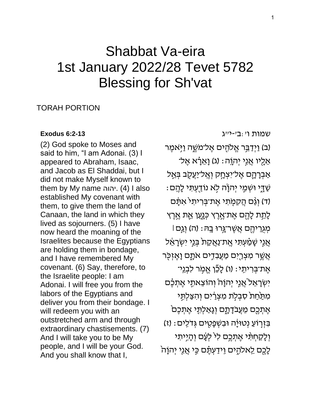# Shabbat Va-eira 1st January 2022/28 Tevet 5782 Blessing for Sh'vat

## TORAH PORTION

#### **[Exodus 6:2-13](https://www.sefaria.org/Exodus.6.2-13)**

(2) God spoke to Moses and said to him, "I am Adonai. (3) I appeared to Abraham, Isaac, and Jacob as El Shaddai, but I did not make Myself known to them by My name יהוה. (4) l also established My covenant with them, to give them the land of Canaan, the land in which they lived as sojourners. (5) I have now heard the moaning of the Israelites because the Egyptians are holding them in bondage, and I have remembered My covenant. (6) Say, therefore, to the Israelite people: I am Adonai. I will free you from the labors of the Egyptians and deliver you from their bondage. I will redeem you with an outstretched arm and through extraordinary chastisements. (7) And I will take you to be My people, and I will be your God. And you shall know that I,

[שמות](https://www.sefaria.org/Exodus.6.2-13) [ו׳:ב׳-י״ג](https://www.sefaria.org/Exodus.6.2-13)

(ב) וַיִּדַבֵּר אֱלֹהִים אֱל־מֹשֶׁה וַיִּּאמֶר אֵלָיו אֲגִי יְהוֶה: (ג) וָאֵרָ֫א אֶל־ אַבְרָהֶם אֶל־יִצְחָק וְאֱל־יַעֲקֻב בְּאֵל ָי וְשְׁמֵ*ֶּי יִּ*הְוָׂה לְא נוֹדֻעִתָּי לָהֵם (ד) וְגַּם הֲקָמְתִי אֱת־בְּרִיתִי אִתַּם ֹלָתֵת לָהֶם אֶת־אֱרֶץ כְּנָעַן אֶת אֶרֶץ מְגְרֵיהֶם אֲשֶׁר־גֶּרוּ בָה: (ה) וְגֵם l אֲנֵי שָׁמַ<mark>ֹ</mark>עִתְּי אֱת־נַאֲקַת בְּנֵי יִשְׂרָאֵל אֲשֶׁר מִצְרֵיִם מַעֲבִדְים אֹתֶם וָאֵזְכָּר ּ אֶת־בְּרִיתֵי : (ו) לָכֵּֽן אֱמֶר לִבְנֵי יִשְׂרָאֵל אֲנֵי יִהוָהֹ וְהוֹצֵאתֶי אֵתְּבֶ֫ם מִתַּׂחַת סִבְלָת מִצְרַ֫יִם וְהִצַּלְתֶּי ּ אֶתְכֶם מֵעֲבֹדָתֶם וְגָאַלְתֶּי אֶתְכֶם בִּזְרְוֹעַ נְטוּיָּה וּבִשְׁפָטְים גְּדֹלֵים: (ז) וְלָקַחְתָּי אֱתָכֶם לִי לִעָּם וְהָיִיתִי ֹלָכֶם לֵאלהָים וֵידַעְתֵּٔם כֵּי אֲנֵי יִהוָה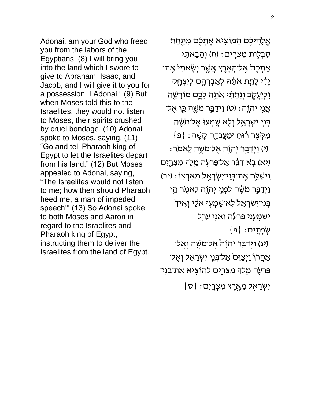Adonai, am your God who freed you from the labors of the Egyptians. (8) I will bring you into the land which I swore to give to Abraham, Isaac, and Jacob, and I will give it to you for a possession, I Adonai." (9) But when Moses told this to the Israelites, they would not listen to Moses, their spirits crushed by cruel bondage. (10) Adonai spoke to Moses, saying, (11) "Go and tell Pharaoh king of Egypt to let the Israelites depart from his land." (12) But Moses appealed to Adonai, saying, "The Israelites would not listen to me; how then should Pharaoh heed me, a man of impeded speech!" (13) So Adonai spoke to both Moses and Aaron in regard to the Israelites and Pharaoh king of Egypt, instructing them to deliver the Israelites from the land of Egypt.

אֱלָהֵיכֶם הַמּוֹצִיא אֶתְכֶם מִתַּחַת ּסְבְלָוֹת מִצְרֶיִם: (ח) וְהֵבֵאתֶי אֶתְכֶם אֶל־הָאֶרֶץ אֲשֶׁר נָשָּׂאתִי אֶת־ יָדִי לָתֵת אֹתָהּ לְאַבְרָהָם לְיִצְחֶק וִּלְיַעֲקֶֽב וְנָתַתָּ֫י אֹתָה*ּ לָ*כֶם מוֹרָשֶׁה אֲגִי יְהוָה: (ט) וַיְדַבֵּר מֹשֶׁה כֵּן אֶל־ בְּנֵי יִשְׂרָאֶל וְלָא שֶׁמְעוּ אֶל־מֹשֶׂה  $\{ {\tt e}\}$  : מְקֶצֵר רוּחַ וּמֵעֲבֹדֶה קָשֶׁה : י) וַיְדַבֵּר יְהוֶה אֶל־מֹשֶׁה לֵאמִר) (יא) בָּא דַבֵּר אֶל־פַּרְעָׂה מֶלֶדְ מִצְרֶיִם וֵ<sup>, יַ</sup>שַׁלַַּח אֶת־בְּנֵי־יִשְׂרָאֶל מֵאַרְצְוֹ וַיְדַבֵּר מֹשֶׂה לִפְגֵי יְהוֻה לֵאמֶר הֵן בְּנִי־יִשְׂרָאֵל לְאֹ־שָׁמְעָוּ אֵלֵי וְאֵיךָ יִשְׁמָ*עֵ*נִי פַּרְעֹׁה וַאֲנֻי עֲרַל  $\{ \mathfrak{Q} \}$  : שְׁפָתָיִם ֿיג) וַיְדַבֵּר יְהוָה אֶל־מֹשֶׁה וְאֱל־ אַהֲרֹןֹ וַיְצַוֵּםׂ אֶל־בְּנֵי יִשְׂרָאֵל וְאֶל־ ּפַּרְעָׂה מֱלֶךְ מִצְרֶיִם לְהוֹצִיא אֶת־בְּנֵי־  $\{ \sigma \} : \sigma$ יִשְׂרָאֵל מֵאֶרֶץ מִצְרָיִם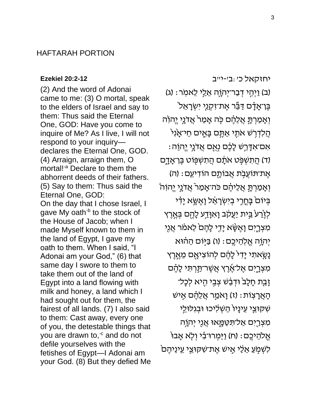### HAFTARAH PORTION

#### **[Ezekiel 20:2-12](https://www.sefaria.org/Ezekiel.20.2-12)**

(2) And the word of Adonai came to me: (3) O mortal, speak to the elders of Israel and say to them: Thus said the Eternal One, GOD: Have you come to inquire of Me? As I live, I will not respond to your inquiry declares the Eternal One, GOD. (4) Arraign, arraign them, O mortal!<sup>-a</sup> Declare to them the abhorrent deeds of their fathers. (5) Say to them: Thus said the Eternal One, GOD: On the day that I chose Israel, I gave My oath<sup>-b</sup> to the stock of the House of Jacob; when I made Myself known to them in the land of Egypt, I gave my oath to them. When I said, "I Adonai am your God," (6) that same day I swore to them to take them out of the land of Egypt into a land flowing with milk and honey, a land which I had sought out for them, the fairest of all lands. (7) I also said to them: Cast away, every one of you, the detestable things that you are drawn to, $\epsilon$  and do not defile yourselves with the fetishes of Egypt—I Adonai am your God. (8) But they defied Me

[יחזקאל](https://www.sefaria.org/Ezekiel.20.2-12) [כ׳:ב׳-י״ב](https://www.sefaria.org/Ezekiel.20.2-12)  (ב) וַיְהֶי דְּבַר־יְהוֶה אֵלֵי לֵאמִר: (ג) בֶּן־אָדִָ֫֫ם דַּבֵּר אֶת־זִקְנֵי יִשְׂרָאֵל וְאָמַרְתָּ אֲלֵהֶם כָּה אָמַרֹ אֲדֹנֵי יֱהוֹה הֲלִדְרָשׁ אֹתֶי אַתֱם בָּאֶים חַי־אָנִי  $:$ אָם־אָדָּרֵשׁ לָכֶֶם נְאֻם אֲדֹנָי יֱהוֵה (ד) הֲתִשְׁפָּט אֹתָם הֲתִשְׁפָּוֹט בֶּן־אָדֶם אֶת־תּוֹעֲבָת אֲבוֹתָם הוֹדִיעֵם: (ה) וְאָמַרְתָּ אֲלֵיהֶם כֹּה־אָמַר אֲדֹנֵי יֱהוִהֹ בְּיוֹם בָּחֱרֵי בְיִשְׂרָאֵ֫ל וָאֶשֶׂא יָדִי לְזֶ**֫**רַעֹ בֵּית יַעֲקֹב וָאִוָּדַע לָהֶם בְּאֶרֶץ מִצְרָיִם וָאֶשָּׂא יָדִי לָהֶם<sup>ׂ</sup> לֵאמֹר אֲנִי יְהְוֶה אֱלְהֵיכֶם: (ו) בַּיְּוֹם הַהֹוּא ֿנָשָׂאתִי יָדִי לָהֶם לְהוֹצִיאָם מֵאֶרֶץ מִצְרֶיִם אֶל־אֶרֶץ אֲשֶׁר־תַּרְתִּי לָהֶם זָבָת חָלָב<sup>י</sup> וּדְּבַּשׁ צְבִי הָיא לְכָל־ ּהָאֲרָצְוֹת: (ז) וַאמַר אֲלֵהֶם אֱיש שִׁקּוּצֵי עֵינָיוֹ הַשְׁלִיכוּ וּבְגִלּוּ<u>לֵ</u>י מִצְרֵיִם אַל־תִּטַּמֱָאוּ אֲנֵי יְהוָ֫ה ּאֱלֹהֵיכֶם: (ח) וַיַּמְרוּ־בִ֫י וְלָא אָבוּ ֿלְשָׁמְעַ אֲלֵי אֱישׁ אֵת־שְׁקִוּצֵי עֵינֵיהֵם